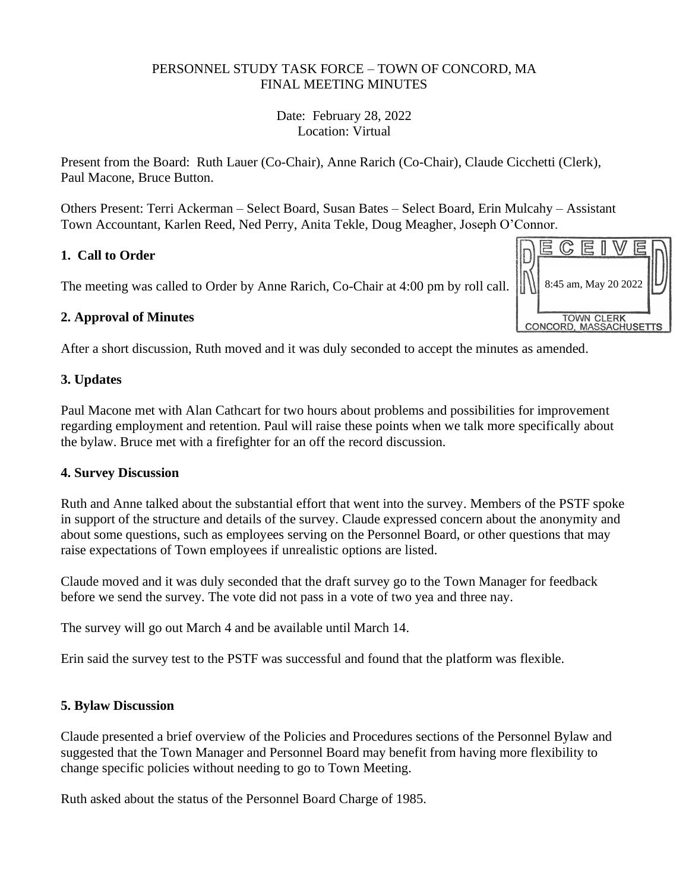#### PERSONNEL STUDY TASK FORCE – TOWN OF CONCORD, MA FINAL MEETING MINUTES

Date: February 28, 2022 Location: Virtual

Present from the Board: Ruth Lauer (Co-Chair), Anne Rarich (Co-Chair), Claude Cicchetti (Clerk), Paul Macone, Bruce Button.

Others Present: Terri Ackerman – Select Board, Susan Bates – Select Board, Erin Mulcahy – Assistant Town Accountant, Karlen Reed, Ned Perry, Anita Tekle, Doug Meagher, Joseph O'Connor.

## **1. Call to Order**

The meeting was called to Order by Anne Rarich, Co-Chair at 4:00 pm by roll call.

# **2. Approval of Minutes**

After a short discussion, Ruth moved and it was duly seconded to accept the minutes as amended.

## **3. Updates**

Paul Macone met with Alan Cathcart for two hours about problems and possibilities for improvement regarding employment and retention. Paul will raise these points when we talk more specifically about the bylaw. Bruce met with a firefighter for an off the record discussion.

## **4. Survey Discussion**

Ruth and Anne talked about the substantial effort that went into the survey. Members of the PSTF spoke in support of the structure and details of the survey. Claude expressed concern about the anonymity and about some questions, such as employees serving on the Personnel Board, or other questions that may raise expectations of Town employees if unrealistic options are listed.

Claude moved and it was duly seconded that the draft survey go to the Town Manager for feedback before we send the survey. The vote did not pass in a vote of two yea and three nay.

The survey will go out March 4 and be available until March 14.

Erin said the survey test to the PSTF was successful and found that the platform was flexible.

## **5. Bylaw Discussion**

Claude presented a brief overview of the Policies and Procedures sections of the Personnel Bylaw and suggested that the Town Manager and Personnel Board may benefit from having more flexibility to change specific policies without needing to go to Town Meeting.

Ruth asked about the status of the Personnel Board Charge of 1985.